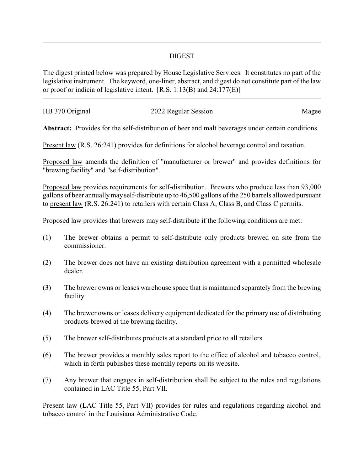## DIGEST

The digest printed below was prepared by House Legislative Services. It constitutes no part of the legislative instrument. The keyword, one-liner, abstract, and digest do not constitute part of the law or proof or indicia of legislative intent. [R.S. 1:13(B) and 24:177(E)]

| HB 370 Original |                      |       |
|-----------------|----------------------|-------|
|                 | 2022 Regular Session | Magee |
|                 |                      |       |

**Abstract:** Provides for the self-distribution of beer and malt beverages under certain conditions.

Present law (R.S. 26:241) provides for definitions for alcohol beverage control and taxation.

Proposed law amends the definition of "manufacturer or brewer" and provides definitions for "brewing facility" and "self-distribution".

Proposed law provides requirements for self-distribution. Brewers who produce less than 93,000 gallons of beer annuallymay self-distribute up to 46,500 gallons of the 250 barrels allowed pursuant to present law (R.S. 26:241) to retailers with certain Class A, Class B, and Class C permits.

Proposed law provides that brewers may self-distribute if the following conditions are met:

- (1) The brewer obtains a permit to self-distribute only products brewed on site from the commissioner.
- (2) The brewer does not have an existing distribution agreement with a permitted wholesale dealer.
- (3) The brewer owns or leases warehouse space that is maintained separately from the brewing facility.
- (4) The brewer owns or leases delivery equipment dedicated for the primary use of distributing products brewed at the brewing facility.
- (5) The brewer self-distributes products at a standard price to all retailers.
- (6) The brewer provides a monthly sales report to the office of alcohol and tobacco control, which in forth publishes these monthly reports on its website.
- (7) Any brewer that engages in self-distribution shall be subject to the rules and regulations contained in LAC Title 55, Part VII.

Present law (LAC Title 55, Part VII) provides for rules and regulations regarding alcohol and tobacco control in the Louisiana Administrative Code.